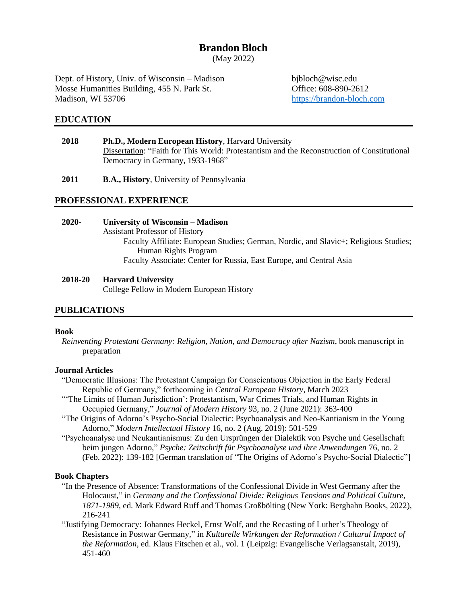# **Brandon Bloch**

(May 2022)

Dept. of History, Univ. of Wisconsin – Madison bjbloch@wisc.edu Mosse Humanities Building, 455 N. Park St. Office: 608-890-2612 Madison, WI 53706 [https://brandon-bloch.com](https://brandon-bloch.com/)

## **EDUCATION**

- **2018 Ph.D., Modern European History**, Harvard University Dissertation: "Faith for This World: Protestantism and the Reconstruction of Constitutional Democracy in Germany, 1933-1968"
- **2011 B.A., History**, University of Pennsylvania

## **PROFESSIONAL EXPERIENCE**

## **2020- University of Wisconsin – Madison** Assistant Professor of History Faculty Affiliate: European Studies; German, Nordic, and Slavic+; Religious Studies; Human Rights Program Faculty Associate: Center for Russia, East Europe, and Central Asia

#### **2018-20 Harvard University**

College Fellow in Modern European History

## **PUBLICATIONS**

#### **Book**

*Reinventing Protestant Germany: Religion, Nation, and Democracy after Nazism*, book manuscript in preparation

#### **Journal Articles**

- "Democratic Illusions: The Protestant Campaign for Conscientious Objection in the Early Federal Republic of Germany," forthcoming in *Central European History*, March 2023
- "The Limits of Human Jurisdiction': Protestantism, War Crimes Trials, and Human Rights in Occupied Germany," *Journal of Modern History* 93, no. 2 (June 2021): 363-400
- "The Origins of Adorno's Psycho-Social Dialectic: Psychoanalysis and Neo-Kantianism in the Young Adorno," *Modern Intellectual History* 16, no. 2 (Aug. 2019): 501-529
- "Psychoanalyse und Neukantianismus: Zu den Ursprüngen der Dialektik von Psyche und Gesellschaft beim jungen Adorno," *Psyche: Zeitschrift für Psychoanalyse und ihre Anwendungen* 76, no. 2 (Feb. 2022): 139-182 [German translation of "The Origins of Adorno's Psycho-Social Dialectic"]

#### **Book Chapters**

- "In the Presence of Absence: Transformations of the Confessional Divide in West Germany after the Holocaust," in *Germany and the Confessional Divide: Religious Tensions and Political Culture, 1871-1989*, ed. Mark Edward Ruff and Thomas Großbölting (New York: Berghahn Books, 2022), 216-241
- "Justifying Democracy: Johannes Heckel, Ernst Wolf, and the Recasting of Luther's Theology of Resistance in Postwar Germany," in *Kulturelle Wirkungen der Reformation / Cultural Impact of the Reformation*, ed. Klaus Fitschen et al., vol. 1 (Leipzig: Evangelische Verlagsanstalt, 2019), 451-460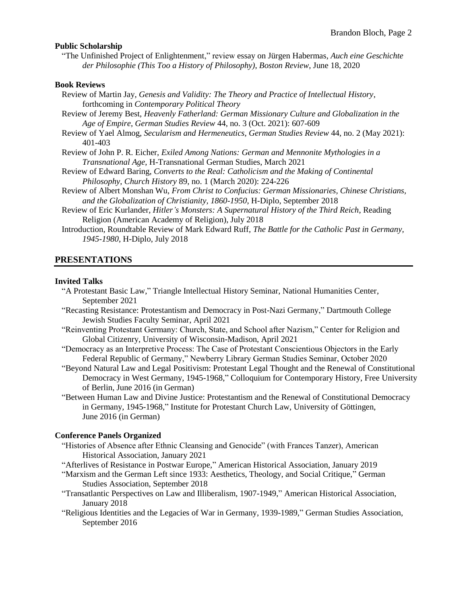#### **Public Scholarship**

"The Unfinished Project of Enlightenment," review essay on Jürgen Habermas, *Auch eine Geschichte der Philosophie (This Too a History of Philosophy)*, *Boston Review*, June 18, 2020

#### **Book Reviews**

| Review of Martin Jay, Genesis and Validity: The Theory and Practice of Intellectual History,   |
|------------------------------------------------------------------------------------------------|
| forthcoming in <i>Contemporary Political Theory</i>                                            |
| Review of Jeremy Best, Heavenly Fatherland: German Missionary Culture and Globalization in the |
| Age of Empire, German Studies Review 44, no. 3 (Oct. 2021): 607-609                            |
| Review of Yael Almog, Secularism and Hermeneutics, German Studies Review 44, no. 2 (May 2021): |
| 401-403                                                                                        |
| Review of John P. R. Eicher, Exiled Among Nations: German and Mennonite Mythologies in a       |
| Transnational Age, H-Transnational German Studies, March 2021                                  |
| Review of Edward Baring, Converts to the Real: Catholicism and the Making of Continental       |
| Philosophy, Church History 89, no. 1 (March 2020): 224-226                                     |

- Review of Albert Monshan Wu, *From Christ to Confucius: German Missionaries, Chinese Christians, and the Globalization of Christianity, 1860-1950*, H-Diplo, September 2018
- Review of Eric Kurlander, *Hitler's Monsters: A Supernatural History of the Third Reich*, Reading Religion (American Academy of Religion), July 2018
- Introduction, Roundtable Review of Mark Edward Ruff, *The Battle for the Catholic Past in Germany, 1945-1980*, H-Diplo, July 2018

### **PRESENTATIONS**

#### **Invited Talks**

- "A Protestant Basic Law," Triangle Intellectual History Seminar, National Humanities Center, September 2021
- "Recasting Resistance: Protestantism and Democracy in Post-Nazi Germany," Dartmouth College Jewish Studies Faculty Seminar, April 2021
- "Reinventing Protestant Germany: Church, State, and School after Nazism," Center for Religion and Global Citizenry, University of Wisconsin-Madison, April 2021
- "Democracy as an Interpretive Process: The Case of Protestant Conscientious Objectors in the Early Federal Republic of Germany," Newberry Library German Studies Seminar, October 2020
- "Beyond Natural Law and Legal Positivism: Protestant Legal Thought and the Renewal of Constitutional Democracy in West Germany, 1945-1968," Colloquium for Contemporary History, Free University of Berlin, June 2016 (in German)
- "Between Human Law and Divine Justice: Protestantism and the Renewal of Constitutional Democracy in Germany, 1945-1968," Institute for Protestant Church Law, University of Göttingen, June 2016 (in German)

### **Conference Panels Organized**

- "Histories of Absence after Ethnic Cleansing and Genocide" (with Frances Tanzer), American Historical Association, January 2021
- "Afterlives of Resistance in Postwar Europe," American Historical Association, January 2019
- "Marxism and the German Left since 1933: Aesthetics, Theology, and Social Critique," German Studies Association, September 2018
- "Transatlantic Perspectives on Law and Illiberalism, 1907-1949," American Historical Association, January 2018
- "Religious Identities and the Legacies of War in Germany, 1939-1989," German Studies Association, September 2016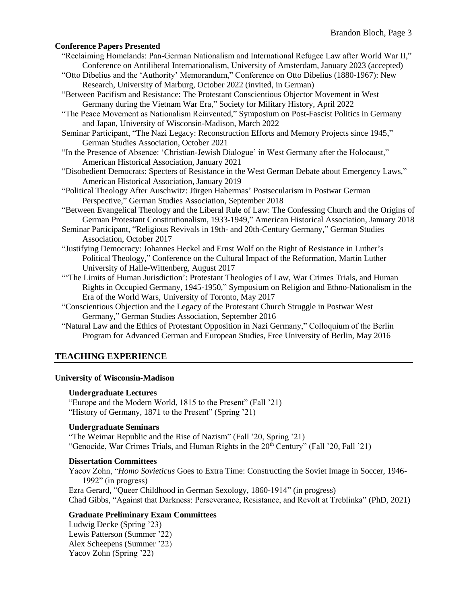### **Conference Papers Presented**

- "Reclaiming Homelands: Pan-German Nationalism and International Refugee Law after World War II," Conference on Antiliberal Internationalism, University of Amsterdam, January 2023 (accepted)
- "Otto Dibelius and the 'Authority' Memorandum," Conference on Otto Dibelius (1880-1967): New Research, University of Marburg, October 2022 (invited, in German)
- "Between Pacifism and Resistance: The Protestant Conscientious Objector Movement in West Germany during the Vietnam War Era," Society for Military History, April 2022
- "The Peace Movement as Nationalism Reinvented," Symposium on Post-Fascist Politics in Germany and Japan, University of Wisconsin-Madison, March 2022
- Seminar Participant, "The Nazi Legacy: Reconstruction Efforts and Memory Projects since 1945," German Studies Association, October 2021
- "In the Presence of Absence: 'Christian-Jewish Dialogue' in West Germany after the Holocaust," American Historical Association, January 2021
- "Disobedient Democrats: Specters of Resistance in the West German Debate about Emergency Laws," American Historical Association, January 2019
- "Political Theology After Auschwitz: Jürgen Habermas' Postsecularism in Postwar German Perspective," German Studies Association, September 2018
- "Between Evangelical Theology and the Liberal Rule of Law: The Confessing Church and the Origins of German Protestant Constitutionalism, 1933-1949," American Historical Association, January 2018
- Seminar Participant, "Religious Revivals in 19th- and 20th-Century Germany," German Studies Association, October 2017
- "Justifying Democracy: Johannes Heckel and Ernst Wolf on the Right of Resistance in Luther's Political Theology," Conference on the Cultural Impact of the Reformation, Martin Luther University of Halle-Wittenberg, August 2017
- "'The Limits of Human Jurisdiction': Protestant Theologies of Law, War Crimes Trials, and Human Rights in Occupied Germany, 1945-1950," Symposium on Religion and Ethno-Nationalism in the Era of the World Wars, University of Toronto, May 2017
- "Conscientious Objection and the Legacy of the Protestant Church Struggle in Postwar West Germany," German Studies Association, September 2016
- "Natural Law and the Ethics of Protestant Opposition in Nazi Germany," Colloquium of the Berlin Program for Advanced German and European Studies, Free University of Berlin, May 2016

## **TEACHING EXPERIENCE**

#### **University of Wisconsin-Madison**

#### **Undergraduate Lectures**

"Europe and the Modern World, 1815 to the Present" (Fall '21) "History of Germany, 1871 to the Present" (Spring '21)

#### **Undergraduate Seminars**

"The Weimar Republic and the Rise of Nazism" (Fall '20, Spring '21) "Genocide, War Crimes Trials, and Human Rights in the  $20<sup>th</sup>$  Century" (Fall '20, Fall '21)

### **Dissertation Committees**

Yacov Zohn, "*Homo Sovieticus* Goes to Extra Time: Constructing the Soviet Image in Soccer, 1946- 1992" (in progress) Ezra Gerard, "Queer Childhood in German Sexology, 1860-1914" (in progress) Chad Gibbs, "Against that Darkness: Perseverance, Resistance, and Revolt at Treblinka" (PhD, 2021)

## **Graduate Preliminary Exam Committees**

Ludwig Decke (Spring '23) Lewis Patterson (Summer '22) Alex Scheepens (Summer '22) Yacov Zohn (Spring '22)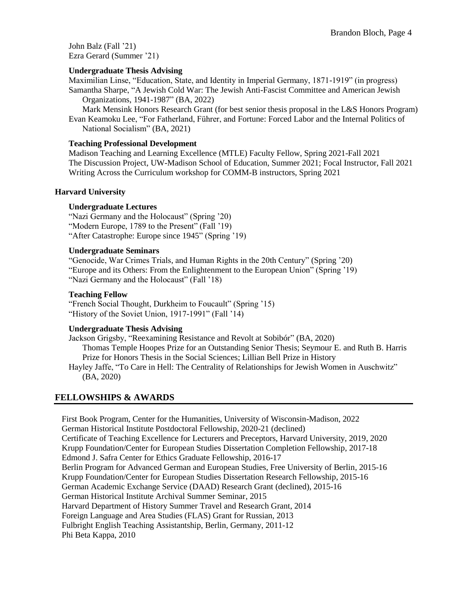John Balz (Fall '21) Ezra Gerard (Summer '21)

## **Undergraduate Thesis Advising**

Maximilian Linse, "Education, State, and Identity in Imperial Germany, 1871-1919" (in progress) Samantha Sharpe, "A Jewish Cold War: The Jewish Anti-Fascist Committee and American Jewish

Organizations, 1941-1987" (BA, 2022)

Mark Mensink Honors Research Grant (for best senior thesis proposal in the L&S Honors Program) Evan Keamoku Lee, "For Fatherland, Führer, and Fortune: Forced Labor and the Internal Politics of National Socialism" (BA, 2021)

### **Teaching Professional Development**

Madison Teaching and Learning Excellence (MTLE) Faculty Fellow, Spring 2021-Fall 2021 The Discussion Project, UW-Madison School of Education, Summer 2021; Focal Instructor, Fall 2021 Writing Across the Curriculum workshop for COMM-B instructors, Spring 2021

#### **Harvard University**

#### **Undergraduate Lectures**

"Nazi Germany and the Holocaust" (Spring '20) "Modern Europe, 1789 to the Present" (Fall '19) "After Catastrophe: Europe since 1945" (Spring '19)

#### **Undergraduate Seminars**

"Genocide, War Crimes Trials, and Human Rights in the 20th Century" (Spring '20) "Europe and its Others: From the Enlightenment to the European Union" (Spring '19) "Nazi Germany and the Holocaust" (Fall '18)

### **Teaching Fellow**

"French Social Thought, Durkheim to Foucault" (Spring '15) "History of the Soviet Union, 1917-1991" (Fall '14)

#### **Undergraduate Thesis Advising**

Jackson Grigsby, "Reexamining Resistance and Revolt at Sobibór" (BA, 2020) Thomas Temple Hoopes Prize for an Outstanding Senior Thesis; Seymour E. and Ruth B. Harris Prize for Honors Thesis in the Social Sciences; Lillian Bell Prize in History Hayley Jaffe, "To Care in Hell: The Centrality of Relationships for Jewish Women in Auschwitz" (BA, 2020)

## **FELLOWSHIPS & AWARDS**

First Book Program, Center for the Humanities, University of Wisconsin-Madison, 2022 German Historical Institute Postdoctoral Fellowship, 2020-21 (declined) Certificate of Teaching Excellence for Lecturers and Preceptors, Harvard University, 2019, 2020 Krupp Foundation/Center for European Studies Dissertation Completion Fellowship, 2017-18 Edmond J. Safra Center for Ethics Graduate Fellowship, 2016-17 Berlin Program for Advanced German and European Studies, Free University of Berlin, 2015-16 Krupp Foundation/Center for European Studies Dissertation Research Fellowship, 2015-16 German Academic Exchange Service (DAAD) Research Grant (declined), 2015-16 German Historical Institute Archival Summer Seminar, 2015 Harvard Department of History Summer Travel and Research Grant, 2014 Foreign Language and Area Studies (FLAS) Grant for Russian, 2013 Fulbright English Teaching Assistantship, Berlin, Germany, 2011-12 Phi Beta Kappa, 2010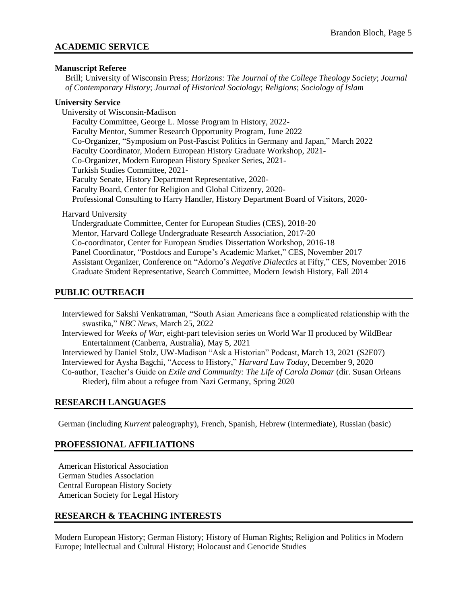## **ACADEMIC SERVICE**

### **Manuscript Referee**

Brill; University of Wisconsin Press; *Horizons: The Journal of the College Theology Society*; *Journal of Contemporary History*; *Journal of Historical Sociology*; *Religions*; *Sociology of Islam*

### **University Service**

University of Wisconsin-Madison Faculty Committee, George L. Mosse Program in History, 2022- Faculty Mentor, Summer Research Opportunity Program, June 2022 Co-Organizer, "Symposium on Post-Fascist Politics in Germany and Japan," March 2022 Faculty Coordinator, Modern European History Graduate Workshop, 2021- Co-Organizer, Modern European History Speaker Series, 2021- Turkish Studies Committee, 2021- Faculty Senate, History Department Representative, 2020- Faculty Board, Center for Religion and Global Citizenry, 2020- Professional Consulting to Harry Handler, History Department Board of Visitors, 2020-

### Harvard University

Undergraduate Committee, Center for European Studies (CES), 2018-20 Mentor, Harvard College Undergraduate Research Association, 2017-20 Co-coordinator, Center for European Studies Dissertation Workshop, 2016-18 Panel Coordinator, "Postdocs and Europe's Academic Market," CES, November 2017 Assistant Organizer, Conference on "Adorno's *Negative Dialectics* at Fifty," CES, November 2016 Graduate Student Representative, Search Committee, Modern Jewish History, Fall 2014

## **PUBLIC OUTREACH**

Interviewed for Sakshi Venkatraman, "South Asian Americans face a complicated relationship with the swastika," *NBC News*, March 25, 2022 Interviewed for *Weeks of War*, eight-part television series on World War II produced by WildBear Entertainment (Canberra, Australia), May 5, 2021 Interviewed by Daniel Stolz, UW-Madison "Ask a Historian" Podcast, March 13, 2021 (S2E07) Interviewed for Aysha Bagchi, "Access to History," *Harvard Law Today*, December 9, 2020 Co-author, Teacher's Guide on *Exile and Community: The Life of Carola Domar* (dir. Susan Orleans Rieder), film about a refugee from Nazi Germany, Spring 2020

## **RESEARCH LANGUAGES**

German (including *Kurrent* paleography), French, Spanish, Hebrew (intermediate), Russian (basic)

## **PROFESSIONAL AFFILIATIONS**

American Historical Association German Studies Association Central European History Society American Society for Legal History

## **RESEARCH & TEACHING INTERESTS**

Modern European History; German History; History of Human Rights; Religion and Politics in Modern Europe; Intellectual and Cultural History; Holocaust and Genocide Studies